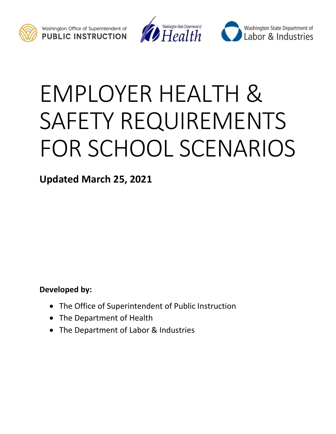





# EMPLOYER HEALTH & SAFETY REQUIREMENTS FOR SCHOOL SCENARIOS

**Updated March 25, 2021**

**Developed by:**

- The Office of Superintendent of Public Instruction
- The Department of Health
- The Department of Labor & Industries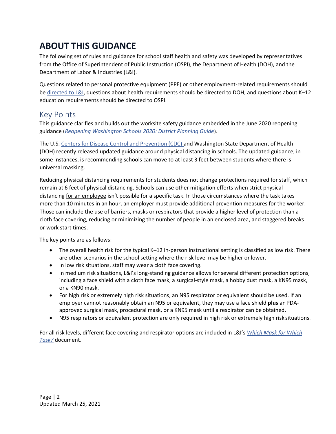# <span id="page-1-0"></span>**ABOUT THIS GUIDANCE**

The following set of rules and guidance for school staff health and safety was developed by representatives from the Office of Superintendent of Public Instruction (OSPI), the Department of Health (DOH), and the Department of Labor & Industries (L&I).

Questions related to personal protective equipment (PPE) or other employment-related requirements should b[e directed to L&I, q](https://lni.wa.gov/safety-health/preventing-injuries-illnesses/request-consultation/)uestions about health requirements should be directed to DOH, and questions about K–12 education requirements should be directed to OSPI.

## Key Points

This guidance clarifies and builds out the worksite safety guidance embedded in the June 2020 reopening guidance (*[Reopening Washington Schools 2020: District Planning Guide](https://www.k12.wa.us/sites/default/files/public/workgroups/Reopening%20Washington%20Schools%202020%20Planning%20Guide.pdf)*).

The U.S[. Centers for Disease Control and Prevention \(CDC\)](https://gcc02.safelinks.protection.outlook.com/?url=https%3A%2F%2Fwww.cdc.gov%2Fcoronavirus%2F2019-ncov%2Fcommunity%2Fschools-childcare%2Fschools.html%3FCDC_AA_refVal%3Dhttps%253A%252F%252Fwww.cdc.gov%252Fcoronavirus%252F2019-ncov%252Fcommunity%252Fschools-childcare%252Fguidance-for-schools.html&data=04%7C01%7Cfelu235%40LNI.WA.GOV%7C8465466d030d4386323708d8ed75de04%7C11d0e217264e400a8ba057dcc127d72d%7C0%7C0%7C637520437773361788%7CUnknown%7CTWFpbGZsb3d8eyJWIjoiMC4wLjAwMDAiLCJQIjoiV2luMzIiLCJBTiI6Ik1haWwiLCJXVCI6Mn0%3D%7C1000&sdata=O5NA71EFZOlOXvM8iVtzlP%2B2SNLgKz5Eu7eHMlWKwRs%3D&reserved=0) and Washington State Department of Health (DOH) recently released updated guidance around physical distancing in schools. The updated guidance, in some instances, is recommending schools can move to at least 3 feet between students where there is universal masking.

Reducing physical distancing requirements for students does not change protections required for staff, which remain at 6 feet of physical distancing. Schools can use other mitigation efforts when strict physical distancing for an employee isn't possible for a specific task. In those circumstances where the task takes more than 10 minutes in an hour, an employer must provide additional prevention measures for the worker. Those can include the use of barriers, masks or respirators that provide a higher level of protection than a cloth face covering, reducing or minimizing the number of people in an enclosed area, and staggered breaks or work start times.

The key points are as follows:

- The overall health risk for the typical K–12 in-person instructional setting is classified as low risk. There are other scenarios in the school setting where the risk level may be higher or lower.
- In low risk situations, staff may wear a cloth face covering.
- In medium risk situations, L&I's long-standing guidance allows for several different protection options, including a face shield with a cloth face mask, a surgical-style mask, a hobby dust mask, a KN95 mask, or a KN90 mask.
- For high risk or extremely high risk situations, an N95 respirator or equivalent should be used. If an employer cannot reasonably obtain an N95 or equivalent, they may use a face shield **plus** an FDAapproved surgical mask, procedural mask, or a KN95 mask until a respirator can be obtained.
- N95 respirators or equivalent protection are only required in high risk or extremely high risk situations.

For all risk levels, different face covering and respirator options are included in L&I's *[Which Mask for Which](https://www.lni.wa.gov/forms-publications/F414-168-000.pdf) [Task?](https://www.lni.wa.gov/forms-publications/F414-168-000.pdf)* document.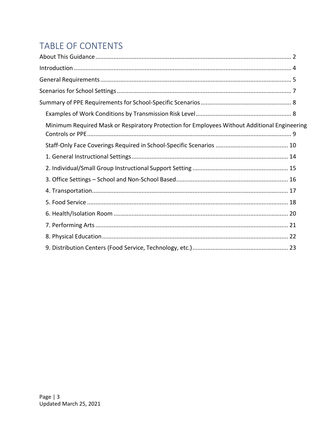# TABLE OF CONTENTS

| Minimum Required Mask or Respiratory Protection for Employees Without Additional Engineering |
|----------------------------------------------------------------------------------------------|
|                                                                                              |
|                                                                                              |
|                                                                                              |
|                                                                                              |
|                                                                                              |
|                                                                                              |
|                                                                                              |
|                                                                                              |
|                                                                                              |
|                                                                                              |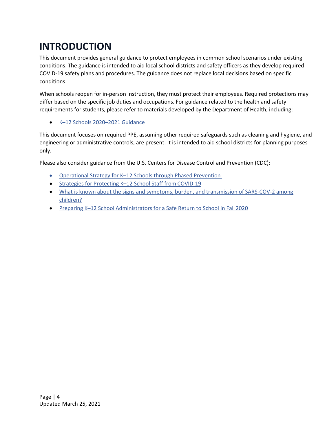# <span id="page-3-0"></span>**INTRODUCTION**

This document provides general guidance to protect employees in common school scenarios under existing conditions. The guidance is intended to aid local school districts and safety officers as they develop required COVID-19 safety plans and procedures. The guidance does not replace local decisions based on specific conditions.

When schools reopen for in-person instruction, they must protect their employees. Required protections may differ based on the specific job duties and occupations. For guidance related to the health and safety requirements for students, please refer to materials developed by the Department of Health, including:

• K–[12 Schools 2020](https://www.doh.wa.gov/Portals/1/Documents/1600/coronavirus/FallGuidanceK-12.pdf)–2021 Guidance

This document focuses on required PPE, assuming other required safeguards such as cleaning and hygiene, and engineering or administrative controls, are present. It is intended to aid school districts for planning purposes only.

Please also consider guidance from the U.S. Centers for Disease Control and Prevention (CDC):

- Operational Strategy for K–[12 Schools through Phased Prevention](https://www.cdc.gov/coronavirus/2019-ncov/community/schools-childcare/operation-strategy.html)
- [Strategies for Protecting K](https://www.cdc.gov/coronavirus/2019-ncov/community/schools-childcare/k-12-staff.html)-12 School Staff from COVID-19
- What is known about the signs and symptoms, [burden, and transmission of SARS-COV-2 among](https://www.cdc.gov/coronavirus/2019-ncov/community/schools-childcare/prepare-safe-return.html#what-is-known) [children?](https://www.cdc.gov/coronavirus/2019-ncov/community/schools-childcare/prepare-safe-return.html#what-is-known)
- Preparing K-[12 School Administrators for a Safe Return to School in Fall](https://www.cdc.gov/coronavirus/2019-ncov/community/schools-childcare/prepare-safe-return.html) 2020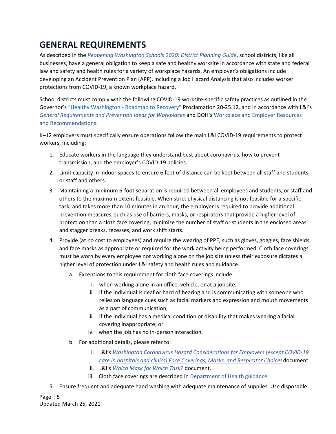# <span id="page-4-0"></span>**GENERAL REQUIREMENTS**

As described in the *[Reopening Washington Schools 2020: District Planning Guide](https://www.k12.wa.us/sites/default/files/public/workgroups/Reopening%20Washington%20Schools%202020%20Planning%20Guide.pdf)*, school districts, like all businesses, have a general obligation to keep a safe and healthy worksite in accordance with state and federal law and safety and health rules for a variety of workplace hazards. An employer's obligations include developing an Accident Prevention Plan (APP), including a Job Hazard Analysis that also includes worker protections from COVID-19, a known workplace hazard.

School districts must comply with the following COVID-19 worksite-specific safety practices as outlined in the Governor's "Healthy Washington - [Roadmap to Recovery](https://www.governor.wa.gov/sites/default/files/proclamations/proc_20-25.12.pdf)" Proclamation 20-25.12, and in accordance with L&I's *[General Requirements](http://www.lni.wa.gov/go/F414-164-000) [and Prevention Ideas for Workplaces](http://www.lni.wa.gov/go/F414-164-000)* and DOH's [Workplace and Employer Resources](http://www.doh.wa.gov/Coronavirus/workplace)  [and Recommendations.](http://www.doh.wa.gov/Coronavirus/workplace)

K–12 employers must specifically ensure operations follow the main L&I COVID-19 requirements to protect workers, including:

- 1. Educate workers in the language they understand best about coronavirus, how to prevent transmission, and the employer's COVID-19 policies.
- 2. Limit capacity in indoor spaces to ensure 6 feet of distance can be kept between all staff and students, or staff and others.
- 3. Maintaining a minimum 6-foot separation is required between all employees and students, or staff and others to the maximum extent feasible. When strict physical distancing is not feasible for a specific task, and takes more than 10 minutes in an hour, the employer is required to provide additional prevention measures, such as use of barriers, masks, or respirators that provide a higher level of protection than a cloth face covering, minimize the number of staff or students in the enclosed areas, and stagger breaks, recesses, and work shift starts.
- 4. Provide (at no cost to employees) and require the wearing of PPE, such as gloves, goggles, face shields, and face masks as appropriate or required for the work activity being performed. Cloth face coverings must be worn by every employee not working alone on the job site unless their exposure dictates a higher level of protection under L&I safety and health rules and guidance.
	- a. Exceptions to this requirement for cloth face coverings include:
		- i. when working alone in an office, vehicle, or at a job site;
		- ii. if the individual is deaf or hard of hearing and is communicating with someone who relies on language cues such as facial markers and expression and mouth movements as a part of communication;
		- iii. if the individual has a medical condition or disability that makes wearing a facial covering inappropriate; or
		- iv. when the job has no in-person interaction.
	- b. For additional details, please refer to:
		- i. L&I's *[Washington Coronavirus Hazard Considerations for Employers \(except COVID-19](http://www.lni.wa.gov/MaskConsiderations) [care in hospitals and clinics\) Face Coverings, Masks, and Respirator Choices](http://www.lni.wa.gov/MaskConsiderations)*document.
		- ii. L&I's *[Which Mask for Which Task?](http://www.lni.wa.gov/go/F414-168-000)* document.
		- iii. Cloth face coverings are described in [Department of Health](http://www.doh.wa.gov/Portals/1/Documents/1600/coronavirus/ClothFacemasks.pdf) guidance.
- 5. Ensure frequent and adequate hand washing with adequate maintenance of supplies. Use disposable

Page | 5 Updated March 25, 2021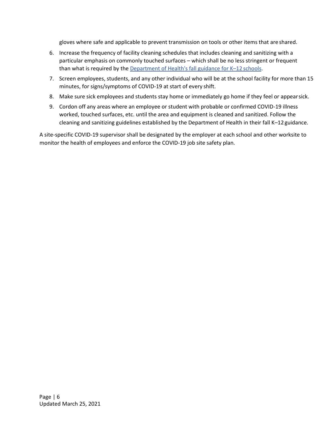gloves where safe and applicable to prevent transmission on tools or other items that are shared.

- 6. Increase the frequency of facility cleaning schedules that includes cleaning and sanitizing with a particular emphasis on commonly touched surfaces – which shall be no less stringent or frequent than what is required by the [Department of Health's fall guidance for K](https://www.doh.wa.gov/Portals/1/Documents/1600/coronavirus/FallGuidanceK-12.pdf)–12 schools.
- 7. Screen employees, students, and any other individual who will be at the school facility for more than 15 minutes, for signs/symptoms of COVID-19 at start of every shift.
- 8. Make sure sick employees and students stay home or immediately go home if they feel or appearsick.
- 9. Cordon off any areas where an employee or student with probable or confirmed COVID-19 illness worked, touched surfaces, etc. until the area and equipment is cleaned and sanitized. Follow the cleaning and sanitizing guidelines established by the Department of Health in their fall K–12 guidance.

A site-specific COVID-19 supervisor shall be designated by the employer at each school and other worksite to monitor the health of employees and enforce the COVID-19 job site safety plan.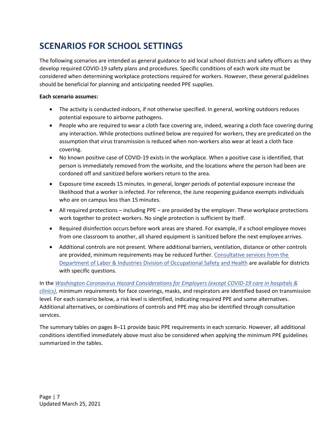# <span id="page-6-0"></span>**SCENARIOS FOR SCHOOL SETTINGS**

The following scenarios are intended as general guidance to aid local school districts and safety officers as they develop required COVID-19 safety plans and procedures. Specific conditions of each work site must be considered when determining workplace protections required for workers. However, these general guidelines should be beneficial for planning and anticipating needed PPE supplies.

#### **Each scenario assumes:**

- The activity is conducted indoors, if not otherwise specified. In general, working outdoors reduces potential exposure to airborne pathogens.
- People who are required to wear a cloth face covering are, indeed, wearing a cloth face covering during any interaction. While protections outlined below are required for workers, they are predicated on the assumption that virus transmission is reduced when non-workers also wear at least a cloth face covering.
- No known positive case of COVID-19 exists in the workplace. When a positive case is identified, that person is immediately removed from the worksite, and the locations where the person had been are cordoned off and sanitized before workers return to the area.
- Exposure time exceeds 15 minutes. In general, longer periods of potential exposure increase the likelihood that a worker is infected. For reference, the June reopening guidance exempts individuals who are on campus less than 15 minutes.
- All required protections including PPE are provided by the employer. These workplace protections work together to protect workers. No single protection is sufficient by itself.
- Required disinfection occurs before work areas are shared. For example, if a school employee moves from one classroom to another, all shared equipment is sanitized before the next employee arrives.
- Additional controls are not present. Where additional barriers, ventilation, distance or other controls are provided, minimum requirements may be reduced further. [Consultative services from the](https://lni.wa.gov/safety-health/preventing-injuries-illnesses/request-consultation/) Department of Labor [& Industries Division of Occupational Safety and Health](https://lni.wa.gov/safety-health/preventing-injuries-illnesses/request-consultation/) are available for districts with specific questions.

In the *[Washington Coronavirus Hazard Considerations for Employers \(except COVID-19 care in hospitals &](https://www.lni.wa.gov/agency/_docs/wacoronavirushazardconsiderationsemployers.pdf) [clinics\)](https://www.lni.wa.gov/agency/_docs/wacoronavirushazardconsiderationsemployers.pdf)*, minimum requirements for face coverings, masks, and respirators are identified based on transmission level. For each scenario below, a risk level is identified, indicating required PPE and some alternatives. Additional alternatives, or combinations of controls and PPE may also be identified through consultation services.

The summary tables on pages 8–11 provide basic PPE requirements in each scenario. However, all additional conditions identified immediately above must also be considered when applying the minimum PPE guidelines summarized in the tables.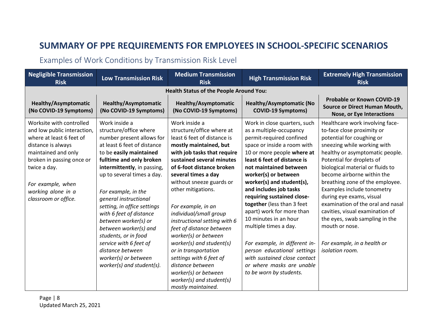# **SUMMARY OF PPE REQUIREMENTS FOR EMPLOYEES IN SCHOOL-SPECIFIC SCENARIOS**

## Examples of Work Conditions by Transmission Risk Level

<span id="page-7-0"></span>

| <b>Negligible Transmission</b><br><b>Risk</b>                                                                                                                                                                                                    | <b>Low Transmission Risk</b>                                                                                                                                                                                                                                                                                                                                                                                                                                                                                  | <b>Medium Transmission</b><br><b>Risk</b>                                                                                                                                                                                                                                                                                                                                                                                                                                                                                                                                              | <b>High Transmission Risk</b>                                                                                                                                                                                                                                                                                                                                                                                                                                                                                                                                                               | <b>Extremely High Transmission</b><br><b>Risk</b>                                                                                                                                                                                                                                                                                                                                                                                                                                                                                      |  |  |  |
|--------------------------------------------------------------------------------------------------------------------------------------------------------------------------------------------------------------------------------------------------|---------------------------------------------------------------------------------------------------------------------------------------------------------------------------------------------------------------------------------------------------------------------------------------------------------------------------------------------------------------------------------------------------------------------------------------------------------------------------------------------------------------|----------------------------------------------------------------------------------------------------------------------------------------------------------------------------------------------------------------------------------------------------------------------------------------------------------------------------------------------------------------------------------------------------------------------------------------------------------------------------------------------------------------------------------------------------------------------------------------|---------------------------------------------------------------------------------------------------------------------------------------------------------------------------------------------------------------------------------------------------------------------------------------------------------------------------------------------------------------------------------------------------------------------------------------------------------------------------------------------------------------------------------------------------------------------------------------------|----------------------------------------------------------------------------------------------------------------------------------------------------------------------------------------------------------------------------------------------------------------------------------------------------------------------------------------------------------------------------------------------------------------------------------------------------------------------------------------------------------------------------------------|--|--|--|
| <b>Health Status of the People Around You:</b>                                                                                                                                                                                                   |                                                                                                                                                                                                                                                                                                                                                                                                                                                                                                               |                                                                                                                                                                                                                                                                                                                                                                                                                                                                                                                                                                                        |                                                                                                                                                                                                                                                                                                                                                                                                                                                                                                                                                                                             |                                                                                                                                                                                                                                                                                                                                                                                                                                                                                                                                        |  |  |  |
| Healthy/Asymptomatic<br>(No COVID-19 Symptoms)                                                                                                                                                                                                   | Healthy/Asymptomatic<br>(No COVID-19 Symptoms)                                                                                                                                                                                                                                                                                                                                                                                                                                                                | <b>Healthy/Asymptomatic</b><br>(No COVID-19 Symptoms)                                                                                                                                                                                                                                                                                                                                                                                                                                                                                                                                  | <b>Healthy/Asymptomatic (No</b><br><b>COVID-19 Symptoms)</b>                                                                                                                                                                                                                                                                                                                                                                                                                                                                                                                                | <b>Probable or Known COVID-19</b><br><b>Source or Direct Human Mouth,</b><br>Nose, or Eye Interactions                                                                                                                                                                                                                                                                                                                                                                                                                                 |  |  |  |
| Worksite with controlled<br>and low public interaction,<br>where at least 6 feet of<br>distance is always<br>maintained and only<br>broken in passing once or<br>twice a day.<br>For example, when<br>working alone in a<br>classroom or office. | Work inside a<br>structure/office where<br>number present allows for<br>at least 6 feet of distance<br>to be easily maintained<br>fulltime and only broken<br>intermittently, in passing,<br>up to several times a day.<br>For example, in the<br>general instructional<br>setting, in office settings<br>with 6 feet of distance<br>between worker(s) or<br>between worker(s) and<br>students, or in food<br>service with 6 feet of<br>distance between<br>worker(s) or between<br>worker(s) and student(s). | Work inside a<br>structure/office where at<br>least 6 feet of distance is<br>mostly maintained, but<br>with job tasks that require<br>sustained several minutes<br>of 6-foot distance broken<br>several times a day<br>without sneeze guards or<br>other mitigations.<br>For example, in an<br>individual/small group<br>instructional setting with 6<br>feet of distance between<br>worker(s) or between<br>worker(s) and student(s)<br>or in transportation<br>settings with 6 feet of<br>distance between<br>worker(s) or between<br>worker(s) and student(s)<br>mostly maintained. | Work in close quarters, such<br>as a multiple-occupancy<br>permit-required confined<br>space or inside a room with<br>10 or more people where at<br>least 6 feet of distance is<br>not maintained between<br>worker(s) or between<br>worker(s) and student(s),<br>and includes job tasks<br>requiring sustained close-<br>together (less than 3 feet<br>apart) work for more than<br>10 minutes in an hour<br>multiple times a day.<br>For example, in different in-<br>person educational settings<br>with sustained close contact<br>or where masks are unable<br>to be worn by students. | Healthcare work involving face-<br>to-face close proximity or<br>potential for coughing or<br>sneezing while working with<br>healthy or asymptomatic people.<br>Potential for droplets of<br>biological material or fluids to<br>become airborne within the<br>breathing zone of the employee.<br>Examples include tonometry<br>during eye exams, visual<br>examination of the oral and nasal<br>cavities, visual examination of<br>the eyes, swab sampling in the<br>mouth or nose.<br>For example, in a health or<br>isolation room. |  |  |  |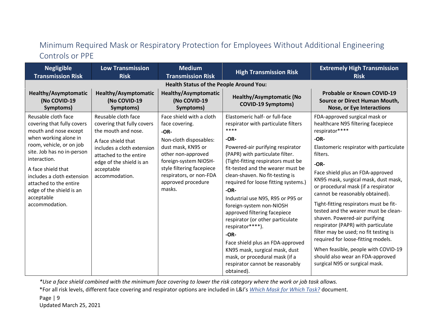## Minimum Required Mask or Respiratory Protection for Employees Without Additional Engineering Controls or PPE

| <b>Negligible</b><br><b>Transmission Risk</b>                                                                                                                                                                                             | <b>Low Transmission</b><br><b>Risk</b>                                                                                                 | <b>Medium</b><br><b>Transmission Risk</b>                                                                                                                                           | <b>High Transmission Risk</b>                                                                                                                                                                                                                                                                                                                                                                                                                                                                                                                                             | <b>Extremely High Transmission</b><br><b>Risk</b>                                                                                                                                                                                                                                                                                                                                                                                                                                                                                                                                  |  |  |
|-------------------------------------------------------------------------------------------------------------------------------------------------------------------------------------------------------------------------------------------|----------------------------------------------------------------------------------------------------------------------------------------|-------------------------------------------------------------------------------------------------------------------------------------------------------------------------------------|---------------------------------------------------------------------------------------------------------------------------------------------------------------------------------------------------------------------------------------------------------------------------------------------------------------------------------------------------------------------------------------------------------------------------------------------------------------------------------------------------------------------------------------------------------------------------|------------------------------------------------------------------------------------------------------------------------------------------------------------------------------------------------------------------------------------------------------------------------------------------------------------------------------------------------------------------------------------------------------------------------------------------------------------------------------------------------------------------------------------------------------------------------------------|--|--|
| <b>Health Status of the People Around You:</b>                                                                                                                                                                                            |                                                                                                                                        |                                                                                                                                                                                     |                                                                                                                                                                                                                                                                                                                                                                                                                                                                                                                                                                           |                                                                                                                                                                                                                                                                                                                                                                                                                                                                                                                                                                                    |  |  |
| <b>Healthy/Asymptomatic</b><br>(No COVID-19<br>Symptoms)                                                                                                                                                                                  | Healthy/Asymptomatic<br>(No COVID-19<br>Symptoms)                                                                                      | <b>Healthy/Asymptomatic</b><br>(No COVID-19<br>Symptoms)                                                                                                                            | <b>Healthy/Asymptomatic (No</b><br><b>COVID-19 Symptoms)</b>                                                                                                                                                                                                                                                                                                                                                                                                                                                                                                              | <b>Probable or Known COVID-19</b><br>Source or Direct Human Mouth,<br><b>Nose, or Eye Interactions</b>                                                                                                                                                                                                                                                                                                                                                                                                                                                                             |  |  |
| Reusable cloth face<br>covering that fully covers<br>mouth and nose except                                                                                                                                                                | Reusable cloth face<br>covering that fully covers<br>the mouth and nose.                                                               | Face shield with a cloth<br>face covering.<br>$-OR-$                                                                                                                                | Elastomeric half- or full-face<br>respirator with particulate filters<br>****                                                                                                                                                                                                                                                                                                                                                                                                                                                                                             | FDA-approved surgical mask or<br>healthcare N95 filtering facepiece<br>respirator****                                                                                                                                                                                                                                                                                                                                                                                                                                                                                              |  |  |
| when working alone in<br>room, vehicle, or on job<br>site. Job has no in-person<br>interaction.<br>A face shield that<br>includes a cloth extension<br>attached to the entire<br>edge of the shield is an<br>acceptable<br>accommodation. | A face shield that<br>includes a cloth extension<br>attached to the entire<br>edge of the shield is an<br>acceptable<br>accommodation. | Non-cloth disposables:<br>dust mask, KN95 or<br>other non-approved<br>foreign-system NIOSH-<br>style filtering facepiece<br>respirators, or non-FDA<br>approved procedure<br>masks. | $-OR-$<br>Powered-air purifying respirator<br>(PAPR) with particulate filter.<br>(Tight-fitting respirators must be<br>fit-tested and the wearer must be<br>clean-shaven. No fit-testing is<br>required for loose fitting systems.)<br>$-OR-$<br>Industrial use N95, R95 or P95 or<br>foreign-system non-NIOSH<br>approved filtering facepiece<br>respirator (or other particulate<br>respirator****).<br>$-OR-$<br>Face shield plus an FDA-approved<br>KN95 mask, surgical mask, dust<br>mask, or procedural mask (if a<br>respirator cannot be reasonably<br>obtained). | $-OR-$<br>Elastomeric respirator with particulate<br>filters.<br>$-OR-$<br>Face shield plus an FDA-approved<br>KN95 mask, surgical mask, dust mask,<br>or procedural mask (if a respirator<br>cannot be reasonably obtained).<br>Tight-fitting respirators must be fit-<br>tested and the wearer must be clean-<br>shaven. Powered-air purifying<br>respirator (PAPR) with particulate<br>filter may be used; no fit testing is<br>required for loose-fitting models.<br>When feasible, people with COVID-19<br>should also wear an FDA-approved<br>surgical N95 or surgical mask. |  |  |

*\*Use a face shield combined with the minimum face covering to lower the risk category where the work or job task allows.*

\*For all risk levels, different face covering and respirator options are included in L&I's *[Which Mask for Which Task?](https://www.lni.wa.gov/forms-publications/F414-168-000.pdf)* document.

Page | 9 Updated March 25, 2021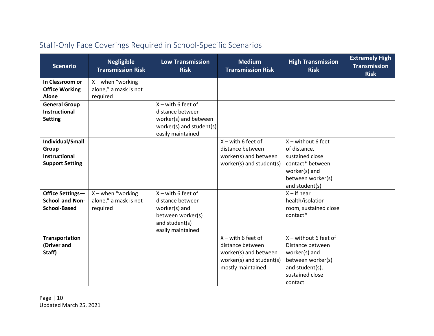| <b>Scenario</b>                                                   | <b>Negligible</b><br><b>Transmission Risk</b>             | <b>Low Transmission</b><br><b>Risk</b>                                                                                | <b>Medium</b><br><b>Transmission Risk</b>                                                                          | <b>High Transmission</b><br><b>Risk</b>                                                                                            | <b>Extremely High</b><br><b>Transmission</b><br><b>Risk</b> |
|-------------------------------------------------------------------|-----------------------------------------------------------|-----------------------------------------------------------------------------------------------------------------------|--------------------------------------------------------------------------------------------------------------------|------------------------------------------------------------------------------------------------------------------------------------|-------------------------------------------------------------|
| In Classroom or                                                   | $X$ – when "working"                                      |                                                                                                                       |                                                                                                                    |                                                                                                                                    |                                                             |
| <b>Office Working</b><br><b>Alone</b>                             | alone," a mask is not<br>required                         |                                                                                                                       |                                                                                                                    |                                                                                                                                    |                                                             |
| <b>General Group</b><br><b>Instructional</b><br><b>Setting</b>    |                                                           | $X$ – with 6 feet of<br>distance between<br>worker(s) and between<br>worker(s) and student(s)<br>easily maintained    |                                                                                                                    |                                                                                                                                    |                                                             |
| Individual/Small<br>Group                                         |                                                           |                                                                                                                       | $X$ – with 6 feet of<br>distance between                                                                           | $X$ – without 6 feet<br>of distance,                                                                                               |                                                             |
| <b>Instructional</b><br><b>Support Setting</b>                    |                                                           |                                                                                                                       | worker(s) and between<br>worker(s) and student(s)                                                                  | sustained close<br>contact* between<br>worker(s) and<br>between worker(s)<br>and student(s)                                        |                                                             |
| Office Settings-<br><b>School and Non-</b><br><b>School-Based</b> | $X$ – when "working"<br>alone," a mask is not<br>required | $X$ – with 6 feet of<br>distance between<br>worker(s) and<br>between worker(s)<br>and student(s)<br>easily maintained |                                                                                                                    | $X - if near$<br>health/isolation<br>room, sustained close<br>contact*                                                             |                                                             |
| <b>Transportation</b><br>(Driver and<br>Staff)                    |                                                           |                                                                                                                       | $X$ – with 6 feet of<br>distance between<br>worker(s) and between<br>worker(s) and student(s)<br>mostly maintained | $X$ – without 6 feet of<br>Distance between<br>worker(s) and<br>between worker(s)<br>and student(s),<br>sustained close<br>contact |                                                             |

# Staff-Only Face Coverings Required in School-Specific Scenarios

Page | 10 Updated March 25, 2021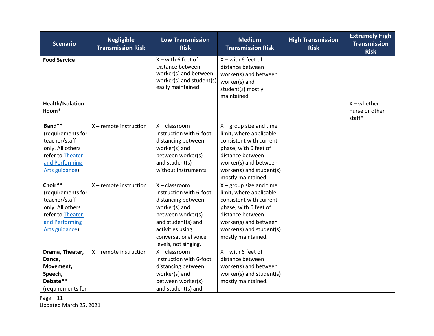| <b>Scenario</b>                                                                                                           | <b>Negligible</b><br><b>Transmission Risk</b> | <b>Low Transmission</b><br><b>Risk</b>                                                                                                                                                           | <b>Medium</b><br><b>Transmission Risk</b>                                                                                                                                                                | <b>High Transmission</b><br><b>Risk</b> | <b>Extremely High</b><br><b>Transmission</b><br><b>Risk</b> |
|---------------------------------------------------------------------------------------------------------------------------|-----------------------------------------------|--------------------------------------------------------------------------------------------------------------------------------------------------------------------------------------------------|----------------------------------------------------------------------------------------------------------------------------------------------------------------------------------------------------------|-----------------------------------------|-------------------------------------------------------------|
| <b>Food Service</b>                                                                                                       |                                               | $X$ – with 6 feet of<br>Distance between<br>worker(s) and between<br>worker(s) and student(s)<br>easily maintained                                                                               | $X$ – with 6 feet of<br>distance between<br>worker(s) and between<br>worker(s) and<br>student(s) mostly<br>maintained                                                                                    |                                         |                                                             |
| Health/Isolation<br>Room*                                                                                                 |                                               |                                                                                                                                                                                                  |                                                                                                                                                                                                          |                                         | $X$ – whether<br>nurse or other<br>staff*                   |
| Band**<br>(requirements for<br>teacher/staff<br>only. All others<br>refer to Theater<br>and Performing<br>Arts guidance)  | $X$ – remote instruction                      | $X - classroom$<br>instruction with 6-foot<br>distancing between<br>worker(s) and<br>between worker(s)<br>and student(s)<br>without instruments.                                                 | $X$ – group size and time<br>limit, where applicable,<br>consistent with current<br>phase; with 6 feet of<br>distance between<br>worker(s) and between<br>worker(s) and student(s)<br>mostly maintained. |                                         |                                                             |
| Choir**<br>(requirements for<br>teacher/staff<br>only. All others<br>refer to Theater<br>and Performing<br>Arts guidance) | $X$ – remote instruction                      | $X - classroom$<br>instruction with 6-foot<br>distancing between<br>worker(s) and<br>between worker(s)<br>and student(s) and<br>activities using<br>conversational voice<br>levels, not singing. | $X$ – group size and time<br>limit, where applicable,<br>consistent with current<br>phase; with 6 feet of<br>distance between<br>worker(s) and between<br>worker(s) and student(s)<br>mostly maintained. |                                         |                                                             |
| Drama, Theater,<br>Dance,<br>Movement,<br>Speech,<br>Debate**<br>(requirements for                                        | $X$ – remote instruction                      | $X - classroom$<br>instruction with 6-foot<br>distancing between<br>worker(s) and<br>between worker(s)<br>and student(s) and                                                                     | $X$ – with 6 feet of<br>distance between<br>worker(s) and between<br>worker(s) and student(s)<br>mostly maintained.                                                                                      |                                         |                                                             |

Page | 11 Updated March 25, 2021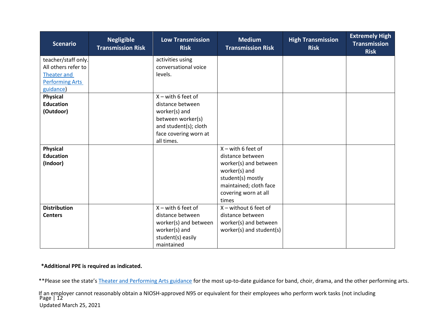| <b>Scenario</b>                     | <b>Negligible</b><br><b>Transmission Risk</b> | <b>Low Transmission</b><br><b>Risk</b> | <b>Medium</b><br><b>Transmission Risk</b> | <b>High Transmission</b><br><b>Risk</b> | <b>Extremely High</b><br><b>Transmission</b><br><b>Risk</b> |
|-------------------------------------|-----------------------------------------------|----------------------------------------|-------------------------------------------|-----------------------------------------|-------------------------------------------------------------|
| teacher/staff only.                 |                                               | activities using                       |                                           |                                         |                                                             |
| All others refer to                 |                                               | conversational voice                   |                                           |                                         |                                                             |
| <b>Theater and</b>                  |                                               | levels.                                |                                           |                                         |                                                             |
| <b>Performing Arts</b><br>guidance) |                                               |                                        |                                           |                                         |                                                             |
| <b>Physical</b>                     |                                               | $X$ – with 6 feet of                   |                                           |                                         |                                                             |
| <b>Education</b>                    |                                               | distance between                       |                                           |                                         |                                                             |
| (Outdoor)                           |                                               | worker(s) and                          |                                           |                                         |                                                             |
|                                     |                                               | between worker(s)                      |                                           |                                         |                                                             |
|                                     |                                               | and student(s); cloth                  |                                           |                                         |                                                             |
|                                     |                                               | face covering worn at                  |                                           |                                         |                                                             |
|                                     |                                               | all times.                             |                                           |                                         |                                                             |
| <b>Physical</b>                     |                                               |                                        | $X$ – with 6 feet of                      |                                         |                                                             |
| <b>Education</b>                    |                                               |                                        | distance between                          |                                         |                                                             |
| (Indoor)                            |                                               |                                        | worker(s) and between<br>worker(s) and    |                                         |                                                             |
|                                     |                                               |                                        | student(s) mostly                         |                                         |                                                             |
|                                     |                                               |                                        | maintained; cloth face                    |                                         |                                                             |
|                                     |                                               |                                        | covering worn at all                      |                                         |                                                             |
|                                     |                                               |                                        | times                                     |                                         |                                                             |
| <b>Distribution</b>                 |                                               | $X$ – with 6 feet of                   | $X$ – without 6 feet of                   |                                         |                                                             |
| <b>Centers</b>                      |                                               | distance between                       | distance between                          |                                         |                                                             |
|                                     |                                               | worker(s) and between                  | worker(s) and between                     |                                         |                                                             |
|                                     |                                               | worker(s) and                          | worker(s) and student(s)                  |                                         |                                                             |
|                                     |                                               | student(s) easily                      |                                           |                                         |                                                             |
|                                     |                                               | maintained                             |                                           |                                         |                                                             |

#### **\*Additional PPE is required as indicated.**

\*\*Please see the state's [Theater and Performing Arts guidance](https://www.governor.wa.gov/sites/default/files/COVID19%20Performing%20Arts%20Theater%20Sector%20Guidance.pdf) for the most up-to-date guidance for band, choir, drama, and the other performing arts.

Page | 12 Updated March 25, 2021 If an employer cannot reasonably obtain a NIOSH-approved N95 or equivalent for their employees who perform work tasks (not including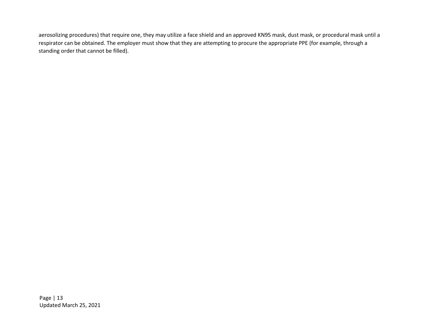<span id="page-12-0"></span>aerosolizing procedures) that require one, they may utilize a face shield and an approved KN95 mask, dust mask, or procedural mask until a respirator can be obtained. The employer must show that they are attempting to procure the appropriate PPE (for example, through a standing order that cannot be filled).

Page | 13 Updated March 25, 2021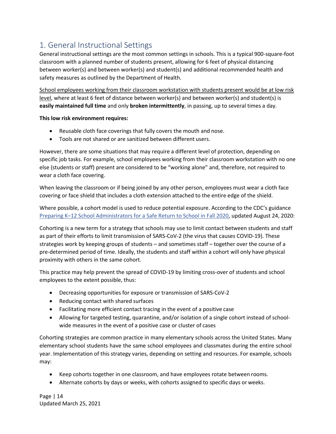## 1. General Instructional Settings

General instructional settings are the most common settings in schools. This is a typical 900-square-foot classroom with a planned number of students present, allowing for 6 feet of physical distancing between worker(s) and between worker(s) and student(s) and additional recommended health and safety measures as outlined by the Department of Health.

School employees working from their classroom workstation with students present would be at low risk level, where at least 6 feet of distance between worker(s) and between worker(s) and student(s) is **easily maintained full time** and only **broken intermittently**, in passing, up to several times a day.

#### **This low risk environment requires:**

- Reusable cloth face coverings that fully covers the mouth and nose.
- Tools are not shared or are sanitized between different users.

However, there are some situations that may require a different level of protection, depending on specific job tasks. For example, school employees working from their classroom workstation with no one else (students or staff) present are considered to be "working alone" and, therefore, not required to wear a cloth face covering.

When leaving the classroom or if being joined by any other person, employees must wear a cloth face covering or face shield that includes a cloth extension attached to the entire edge of the shield.

Where possible, a cohort model is used to reduce potential exposure. According to the CDC's guidance Preparing K–[12 School Administrators for a Safe Return to School in Fall 2020,](https://www.cdc.gov/coronavirus/2019-ncov/community/schools-childcare/prepare-safe-return.html) updated August 24, 2020:

Cohorting is a new term for a strategy that schools may use to limit contact between students and staff as part of their efforts to limit transmission of SARS-CoV-2 (the virus that causes COVID-19). These strategies work by keeping groups of students – and sometimes staff – together over the course of a pre-determined period of time. Ideally, the students and staff within a cohort will only have physical proximity with others in the same cohort.

This practice may help prevent the spread of COVID-19 by limiting cross-over of students and school employees to the extent possible, thus:

- Decreasing opportunities for exposure or transmission of SARS-CoV-2
- Reducing contact with shared surfaces
- Facilitating more efficient contact tracing in the event of a positive case
- Allowing for targeted testing, quarantine, and/or isolation of a single cohort instead of schoolwide measures in the event of a positive case or cluster of cases

Cohorting strategies are common practice in many elementary schools across the United States. Many elementary school students have the same school employees and classmates during the entire school year. Implementation of this strategy varies, depending on setting and resources. For example, schools may:

- Keep cohorts together in one classroom, and have employees rotate between rooms.
- Alternate cohorts by days or weeks, with cohorts assigned to specific days or weeks.

Page | 14 Updated March 25, 2021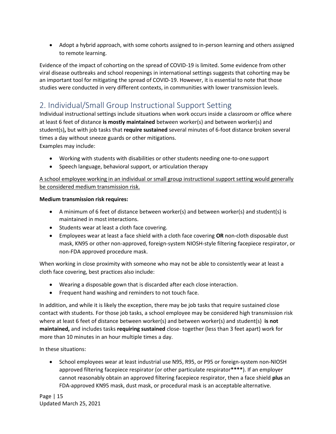• Adopt a hybrid approach, with some cohorts assigned to in-person learning and others assigned to remote learning.

Evidence of the impact of cohorting on the spread of COVID-19 is limited. Some evidence from other viral disease outbreaks and school reopenings in international settings suggests that cohorting may be an important tool for mitigating the spread of COVID-19. However, it is essential to note that those studies were conducted in very different contexts, in communities with lower transmission levels.

## <span id="page-14-0"></span>2. Individual/Small Group Instructional Support Setting

Individual instructional settings include situations when work occurs inside a classroom or office where at least 6 feet of distance **is mostly maintained** between worker(s) and between worker(s) and student(s)**,** but with job tasks that **require sustained** several minutes of 6-foot distance broken several times a day without sneeze guards or other mitigations.

Examples may include:

- Working with students with disabilities or other students needing one-to-one support
- Speech language, behavioral support, or articulation therapy

A school employee working in an individual or small group instructional support setting would generally be considered medium transmission risk.

#### **Medium transmission risk requires:**

- A minimum of 6 feet of distance between worker(s) and between worker(s) and student(s) is maintained in most interactions.
- Students wear at least a cloth face covering.
- Employees wear at least a face shield with a cloth face covering **OR** non-cloth disposable dust mask, KN95 or other non-approved, foreign-system NIOSH-style filtering facepiece respirator, or non-FDA approved procedure mask.

When working in close proximity with someone who may not be able to consistently wear at least a cloth face covering, best practices also include:

- Wearing a disposable gown that is discarded after each close interaction.
- Frequent hand washing and reminders to not touch face.

In addition, and while it is likely the exception, there may be job tasks that require sustained close contact with students. For those job tasks, a school employee may be considered high transmission risk where at least 6 feet of distance between worker(s) and between worker(s) and student(s) **is not maintained,** and includes tasks **requiring sustained** close- together (less than 3 feet apart) work for more than 10 minutes in an hour multiple times a day.

In these situations:

• School employees wear at least industrial use N95, R95, or P95 or foreign-system non-NIOSH approved filtering facepiece respirator (or other particulate respirator**\*\*\*\***). If an employer cannot reasonably obtain an approved filtering facepiece respirator, then a face shield **plus** an FDA-approved KN95 mask, dust mask, or procedural mask is an acceptable alternative.

Page | 15 Updated March 25, 2021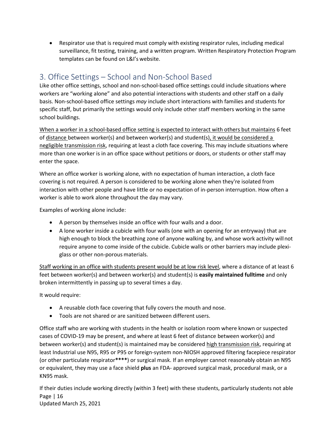<span id="page-15-0"></span>• Respirator use that is required must comply with existing respirator rules, including medical surveillance, fit testing, training, and a written program. Written Respiratory Protection Program templates can be found on L&I's website.

## 3. Office Settings – School and Non-School Based

Like other office settings, school and non-school-based office settings could include situations where workers are "working alone" and also potential interactions with students and other staff on a daily basis. Non-school-based office settings *may* include short interactions with families and students for specific staff, but primarily the settings would only include other staff members working in the same school buildings.

When a worker in a school-based office setting is expected to interact with others but maintains 6 feet of distance between worker(s) and between worker(s) and student(s), it would be considered a negligible transmission risk, requiring at least a cloth face covering. This may include situations where more than one worker is in an office space without petitions or doors, or students or other staff may enter the space.

Where an office worker is working alone, with no expectation of human interaction, a cloth face covering is not required. A person is considered to be working alone when they're isolated from interaction with other people and have little or no expectation of in-person interruption. How often a worker is able to work alone throughout the day may vary.

Examples of working alone include:

- A person by themselves inside an office with four walls and a door.
- A lone worker inside a cubicle with four walls (one with an opening for an entryway) that are high enough to block the breathing zone of anyone walking by, and whose work activity willnot require anyone to come inside of the cubicle. Cubicle walls or other barriers may include plexiglass or other non-porous materials.

Staff working in an office with students present would be at low risk level, where a distance of at least 6 feet between worker(s) and between worker(s) and student(s) is **easily maintained fulltime** and only broken intermittently in passing up to several times a day.

It would require:

- A reusable cloth face covering that fully covers the mouth and nose.
- Tools are not shared or are sanitized between different users.

Office staff who are working with students in the health or isolation room where known or suspected cases of COVID-19 may be present, and where at least 6 feet of distance between worker(s) and between worker(s) and student(s) is maintained may be considered high transmission risk, requiring at least Industrial use N95, R95 or P95 or foreign-system non-NIOSH approved filtering facepiece respirator (or other particulate respirator**\*\*\*\***) or surgical mask. If an employer cannot reasonably obtain an N95 or equivalent, they may use a face shield **plus** an FDA- approved surgical mask, procedural mask, or a KN95 mask.

Page | 16 Updated March 25, 2021 If their duties include working directly (within 3 feet) with these students, particularly students not able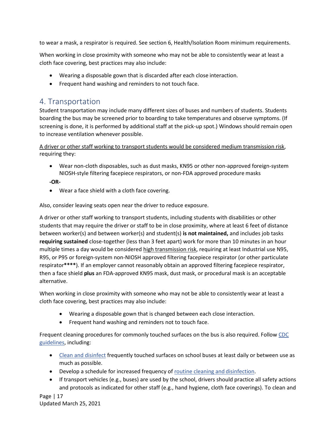to wear a mask, a respirator is required. See section 6, Health/Isolation Room minimum requirements.

When working in close proximity with someone who may not be able to consistently wear at least a cloth face covering, best practices may also include:

- Wearing a disposable gown that is discarded after each close interaction.
- Frequent hand washing and reminders to not touch face.

## <span id="page-16-0"></span>4. Transportation

Student transportation may include many different sizes of buses and numbers of students. Students boarding the bus may be screened prior to boarding to take temperatures and observe symptoms. (If screening is done, it is performed by additional staff at the pick-up spot.) Windows should remain open to increase ventilation whenever possible.

A driver or other staff working to transport students would be considered medium transmission risk, requiring they:

- Wear non-cloth disposables, such as dust masks, KN95 or other non-approved foreign-system NIOSH-style filtering facepiece respirators, or non-FDA approved procedure masks
- **-OR-**
- Wear a face shield with a cloth face covering.

Also, consider leaving seats open near the driver to reduce exposure.

A driver or other staff working to transport students, including students with disabilities or other students that may require the driver or staff to be in close proximity, where at least 6 feet of distance between worker(s) and between worker(s) and student(s) **is not maintained,** and includes job tasks **requiring sustained** close-together (less than 3 feet apart) work for more than 10 minutes in an hour multiple times a day would be considered high transmission risk, requiring at least Industrial use N95, R95, or P95 or foreign-system non-NIOSH approved filtering facepiece respirator (or other particulate respirator**\*\*\*\***). If an employer cannot reasonably obtain an approved filtering facepiece respirator, then a face shield **plus** an FDA-approved KN95 mask, dust mask, or procedural mask is an acceptable alternative.

When working in close proximity with someone who may not be able to consistently wear at least a cloth face covering, best practices may also include:

- Wearing a disposable gown that is changed between each close interaction.
- Frequent hand washing and reminders not to touch face.

Frequent cleaning procedures for commonly touched surfaces on the bus is also required. Follo[w CDC](https://www.cdc.gov/coronavirus/2019-ncov/community/schools-childcare/schools.html) [guidelines, i](https://www.cdc.gov/coronavirus/2019-ncov/community/schools-childcare/schools.html)ncluding:

- [Clean and disinfect](https://www.cdc.gov/coronavirus/2019-ncov/community/clean-disinfect/index.html) frequently touched surfaces on school buses at least daily or between use as much as possible.
- Develop a schedule for increased frequency of [routine cleaning and](https://www.cdc.gov/coronavirus/2019-ncov/community/reopen-guidance.html) disinfection.
- If transport vehicles (e.g., buses) are used by the school, drivers should practice all safety actions and protocols as indicated for other staff (e.g., hand hygiene, cloth face coverings). To clean and

Page | 17 Updated March 25, 2021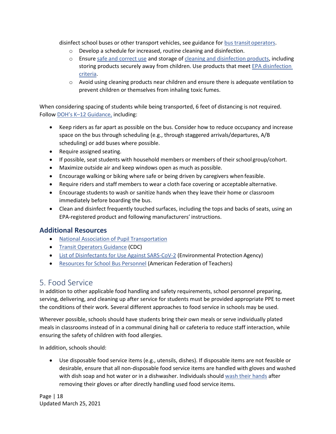disinfect school buses or other transport vehicles, see guidance for [bus transitoperators.](https://www.cdc.gov/coronavirus/2019-ncov/community/organizations/bus-transit-operator.html)

- o Develop a schedule for increased, routine cleaning and disinfection.
- o Ensure [safe and correct use](https://www.cdc.gov/coronavirus/2019-ncov/community/disinfecting-building-facility.html) and storage of [cleaning and disinfection products,](https://www.epa.gov/pesticide-registration/list-n-disinfectants-use-against-sars-cov-2) including storing products securely away from children. Use products that meet [EPA disinfection](https://www.epa.gov/pesticide-registration/list-n-disinfectants-use-against-sars-cov-2) [criteria.](https://www.epa.gov/pesticide-registration/list-n-disinfectants-use-against-sars-cov-2)
- $\circ$  Avoid using cleaning products near children and ensure there is adequate ventilation to prevent children or themselves from inhaling toxic fumes.

When considering spacing of students while being transported, 6 feet of distancing is not required. Follow DOH's K–[12 Guidance,](https://www.doh.wa.gov/Portals/1/Documents/1600/coronavirus/FallGuidanceK-12.pdf) including:

- Keep riders as far apart as possible on the bus. Consider how to reduce occupancy and increase space on the bus through scheduling (e.g., through staggered arrivals/departures, A/B scheduling) or add buses where possible.
- Require assigned seating.
- If possible, seat students with household members or members of their school group/cohort.
- Maximize outside air and keep windows open as much as possible.
- Encourage walking or biking where safe or being driven by caregivers when feasible.
- Require riders and staff members to wear a cloth face covering or acceptable alternative.
- Encourage students to wash or sanitize hands when they leave their home or classroom immediately before boarding the bus.
- Clean and disinfect frequently touched surfaces, including the tops and backs of seats, using an EPA-registered product and following manufacturers' instructions.

#### **Additional Resources**

- [National Association of Pupil](https://www.napt.org/covid) Transportation
- [Transit Operators Guidance](https://www.cdc.gov/coronavirus/2019-ncov/community/organizations/bus-transit-operator.html) (CDC)
- [List of Disinfectants for Use Against SARS-CoV-2](https://www.epa.gov/pesticide-registration/list-n-disinfectants-use-against-sars-cov-2) (Environmental Protection Agency)
- [Resources for School Bus Personnel](https://www.aft.org/sites/default/files/covid19_info_buscleaning.pdf) (American Federation of Teachers)

## <span id="page-17-0"></span>5. Food Service

In addition to other applicable food handling and safety requirements, school personnel preparing, serving, delivering, and cleaning up after service for students must be provided appropriate PPE to meet the conditions of their work. Several different approaches to food service in schools may be used.

Wherever possible, schools should have students bring their own meals or serve individually plated meals in classrooms instead of in a communal dining hall or cafeteria to reduce staff interaction, while ensuring the safety of children with food allergies.

In addition, schools should:

• Use disposable food service items (e.g., utensils, dishes). If disposable items are not feasible or desirable, ensure that all non-disposable food service items are handled with gloves and washed with dish soap and hot water or in a dishwasher. Individuals should [wash their hands](https://www.cdc.gov/handwashing/when-how-handwashing.html) after removing their gloves or after directly handling used food service items.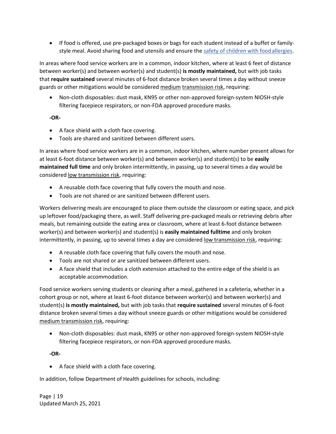• If food is offered, use pre-packaged boxes or bags for each student instead of a buffet or familystyle meal. Avoid sharing food and utensils and ensure the safety of children with food allergies.

In areas where food service workers are in a common, indoor kitchen, where at least 6 feet of distance between worker(s) and between worker(s) and student(s) **is mostly maintained,** but with job tasks that **require sustained** several minutes of 6-foot distance broken several times a day without sneeze guards or other mitigations would be considered medium transmission risk, requiring:

• Non-cloth disposables: dust mask, KN95 or other non-approved foreign-system NIOSH-style filtering facepiece respirators, or non-FDA approved procedure masks.

#### **-OR-**

- A face shield with a cloth face covering.
- Tools are shared and sanitized between different users.

In areas where food service workers are in a common, indoor kitchen, where number present allows for at least 6-foot distance between worker(s) and between worker(s) and student(s) to be **easily maintained full time** and only broken intermittently, in passing, up to several times a day would be considered low transmission risk, requiring:

- A reusable cloth face covering that fully covers the mouth and nose.
- Tools are not shared or are sanitized between different users.

Workers delivering meals are encouraged to place them outside the classroom or eating space, and pick up leftover food/packaging there, as well. Staff delivering pre-packaged meals or retrieving debris after meals, but remaining outside the eating area or classroom, where at least 6-foot distance between worker(s) and between worker(s) and student(s) is **easily maintained fulltime** and only broken intermittently, in passing, up to several times a day are considered low transmission risk, requiring:

- A reusable cloth face covering that fully covers the mouth and nose.
- Tools are not shared or are sanitized between different users.
- A face shield that includes a cloth extension attached to the entire edge of the shield is an acceptable accommodation.

Food service workers serving students or cleaning after a meal, gathered in a cafeteria, whether in a cohort group or not, where at least 6-foot distance between worker(s) and between worker(s) and student(s) **is mostly maintained,** but with job tasks that **require sustained** several minutes of 6-foot distance broken several times a day without sneeze guards or other mitigations would be considered medium transmission risk, requiring:

• Non-cloth disposables: dust mask, KN95 or other non-approved foreign-system NIOSH-style filtering facepiece respirators, or non-FDA approved procedure masks.

**-OR-**

• A face shield with a cloth face covering.

In addition, follow Department of Health guidelines for schools, including:

Page | 19 Updated March 25, 2021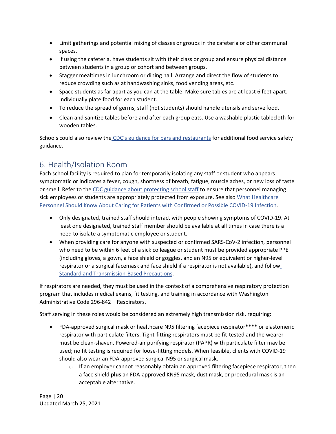- Limit gatherings and potential mixing of classes or groups in the cafeteria or other communal spaces.
- If using the cafeteria, have students sit with their class or group and ensure physical distance between students in a group or cohort and between groups.
- Stagger mealtimes in lunchroom or dining hall. Arrange and direct the flow of students to reduce crowding such as at handwashing sinks, food vending areas, etc.
- Space students as far apart as you can at the table. Make sure tables are at least 6 feet apart. Individually plate food for each student.
- To reduce the spread of germs, staff (not students) should handle utensils and serve food.
- Clean and sanitize tables before and after each group eats. Use a washable plastic tablecloth for wooden tables.

Schools could also review the [CDC's guidance for bars and restaurants](https://www.cdc.gov/coronavirus/2019-ncov/community/organizations/business-employers/bars-restaurants.html) for additional food service safety guidance.

## <span id="page-19-0"></span>6. Health/Isolation Room

Each school facility is required to plan for temporarily isolating any staff or student who appears symptomatic or indicates a fever, cough, shortness of breath, fatigue, muscle aches, or new loss of taste or smell. Refer to the [CDC guidance about protecting school staff](https://www.cdc.gov/coronavirus/2019-ncov/community/schools-childcare/k-12-staff.html) to ensure that personnel managing sick employees or students are appropriately protected from exposure. See also [What Healthcare](https://www.cdc.gov/coronavirus/2019-nCoV/hcp/index.html) [Personnel Should Know About Caring for Patients with Confirmed or Possible COVID-19 Infection.](https://www.cdc.gov/coronavirus/2019-nCoV/hcp/index.html)

- Only designated, trained staff should interact with people showing symptoms of COVID-19. At least one designated, trained staff member should be available at all times in case there is a need to isolate a symptomatic employee or student.
- When providing care for anyone with suspected or confirmed SARS-CoV-2 infection, personnel who need to be within 6 feet of a sick colleague or student must be provided appropriate PPE (including gloves, a gown, a face shield or goggles, and an N95 or equivalent or higher-level respirator or a surgical facemask and face shield if a respirator is not available), and follow [Standard and Transmission-Based](https://www.cdc.gov/coronavirus/2019-ncov/hcp/infection-control-recommendations.html) Precautions.

If respirators are needed, they must be used in the context of a comprehensive respiratory protection program that includes medical exams, fit testing, and training in accordance with Washington Administrative Code 296-842 – Respirators.

Staff serving in these roles would be considered an extremely high transmission risk, requiring:

- FDA-approved surgical mask or healthcare N95 filtering facepiece respirator**\*\*\*\*** or elastomeric respirator with particulate filters. Tight-fitting respirators must be fit-tested and the wearer must be clean-shaven. Powered-air purifying respirator (PAPR) with particulate filter may be used; no fit testing is required for loose-fitting models. When feasible, clients with COVID-19 should also wear an FDA-approved surgical N95 or surgical mask.
	- $\circ$  If an employer cannot reasonably obtain an approved filtering facepiece respirator, then a face shield **plus** an FDA-approved KN95 mask, dust mask, or procedural mask is an acceptable alternative.

Page | 20 Updated March 25, 2021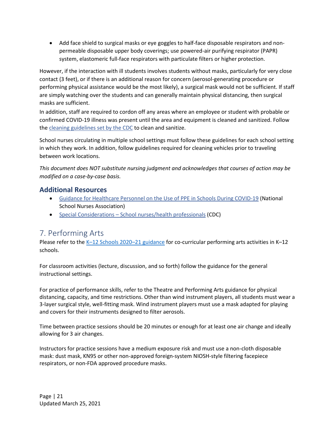• Add face shield to surgical masks or eye goggles to half-face disposable respirators and nonpermeable disposable upper body coverings; use powered-air purifying respirator (PAPR) system, elastomeric full-face respirators with particulate filters or higher protection.

However, if the interaction with ill students involves students without masks, particularly for very close contact (3 feet), or if there is an additional reason for concern (aerosol-generating procedure or performing physical assistance would be the most likely), a surgical mask would not be sufficient. If staff are simply watching over the students and can generally maintain physical distancing, then surgical masks are sufficient.

In addition, staff are required to cordon off any areas where an employee or student with probable or confirmed COVID-19 illness was present until the area and equipment is cleaned and sanitized. Follow th[e cleaning guidelines set by the CDC](http://www.cdc.gov/coronavirus/2019-ncov/community/clean-disinfect/index.html) to clean and sanitize.

School nurses circulating in multiple school settings must follow these guidelines for each school setting in which they work. In addition, follow guidelines required for cleaning vehicles prior to traveling between work locations.

*This document does NOT substitute nursing judgment and acknowledges that courses of action may be modified on a case-by-case basis.*

#### **Additional Resources**

- [Guidance for Healthcare Personnel on the Use of PPE in Schools During COVID-19](https://www.nasn.org/nasn-resources/practice-topics/covid19) (National School Nurses Association)
- Special Considerations [School nurses/health professionals](https://www.cdc.gov/coronavirus/2019-ncov/community/schools-childcare/k-12-staff.html#school-nurses) (CDC)

## <span id="page-20-0"></span>7. Performing Arts

Please refer to the K–[12 Schools 2020](https://www.doh.wa.gov/Portals/1/Documents/1600/coronavirus/FallGuidanceK-12.pdf)–21 guidance for co-curricular performing arts activities in K–12 schools.

For classroom activities (lecture, discussion, and so forth) follow the guidance for the general instructional settings.

For practice of performance skills, refer to the Theatre and Performing Arts guidance for physical distancing, capacity, and time restrictions. Other than wind instrument players, all students must wear a 3-layer surgical style, well-fitting mask. Wind instrument players must use a mask adapted for playing and covers for their instruments designed to filter aerosols.

Time between practice sessions should be 20 minutes or enough for at least one air change and ideally allowing for 3 air changes.

Instructors for practice sessions have a medium exposure risk and must use a non-cloth disposable mask: dust mask, KN95 or other non-approved foreign-system NIOSH-style filtering facepiece respirators, or non-FDA approved procedure masks.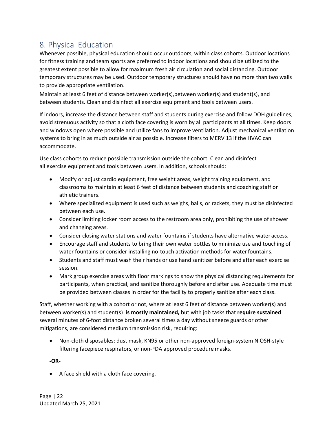## <span id="page-21-0"></span>8. Physical Education

Whenever possible, physical education should occur outdoors, within class cohorts. Outdoor locations for fitness training and team sports are preferred to indoor locations and should be utilized to the greatest extent possible to allow for maximum fresh air circulation and social distancing. Outdoor temporary structures may be used. Outdoor temporary structures should have no more than two walls to provide appropriate ventilation.

Maintain at least 6 feet of distance between worker(s),between worker(s) and student(s), and between students. Clean and disinfect all exercise equipment and tools between users.

If indoors, increase the distance between staff and students during exercise and follow DOH guidelines, avoid strenuous activity so that a cloth face covering is worn by all participants at all times. Keep doors and windows open where possible and utilize fans to improve ventilation. Adjust mechanical ventilation systems to bring in as much outside air as possible. Increase filters to MERV 13 if the HVAC can accommodate.

Use class cohorts to reduce possible transmission outside the cohort. Clean and disinfect all exercise equipment and tools between users. In addition, schools should:

- Modify or adjust cardio equipment, free weight areas, weight training equipment, and classrooms to maintain at least 6 feet of distance between students and coaching staff or athletic trainers.
- Where specialized equipment is used such as weighs, balls, or rackets, they must be disinfected between each use.
- Consider limiting locker room access to the restroom area only, prohibiting the use of shower and changing areas.
- Consider closing water stations and water fountains if students have alternative water access.
- Encourage staff and students to bring their own water bottles to minimize use and touching of water fountains or consider installing no-touch activation methods for waterfountains.
- Students and staff must wash their hands or use hand sanitizer before and after each exercise session.
- Mark group exercise areas with floor markings to show the physical distancing requirements for participants, when practical, and sanitize thoroughly before and after use. Adequate time must be provided between classes in order for the facility to properly sanitize after each class.

Staff, whether working with a cohort or not, where at least 6 feet of distance between worker(s) and between worker(s) and student(s) **is mostly maintained,** but with job tasks that **require sustained**  several minutes of 6-foot distance broken several times a day without sneeze guards or other mitigations, are considered medium transmission risk, requiring:

• Non-cloth disposables: dust mask, KN95 or other non-approved foreign-system NIOSH-style filtering facepiece respirators, or non-FDA approved procedure masks.

**-OR-**

• A face shield with a cloth face covering.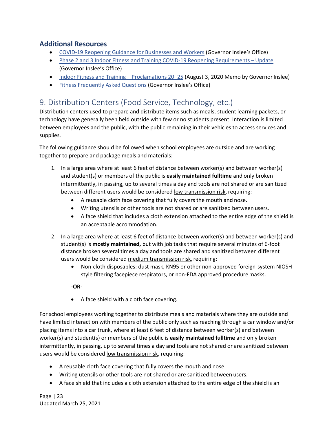#### **Additional Resources**

- [COVID-19 Reopening Guidance for Businesses and Workers](https://www.governor.wa.gov/issues/issues/covid-19-resources/covid-19-reopening-guidance-businesses-and-workers) (Governor Inslee's Office)
- [Phase 2 and 3 Indoor Fitness and Training COVID-19 Reopening Requirements](https://www.governor.wa.gov/sites/default/files/COVID19Phase2FitnessGuidelines.pdf)  Update (Governor Inslee's Office)
- [Indoor Fitness and Training](https://www.governor.wa.gov/sites/default/files/COVID19Phase2FitnessMemo.pdf)  Proclamations 20–25 (August 3, 2020 Memo by Governor Inslee)
- [Fitness Frequently Asked Questions](https://www.governor.wa.gov/sites/default/files/FINAL_Fitness%20FAQs%20%288-7-20%29.pdf) (Governor Inslee's Office)

## <span id="page-22-0"></span>9. Distribution Centers (Food Service, Technology, etc.)

Distribution centers used to prepare and distribute items such as meals, student learning packets, or technology have generally been held outside with few or no students present. Interaction is limited between employees and the public, with the public remaining in their vehicles to access services and supplies.

The following guidance should be followed when school employees are outside and are working together to prepare and package meals and materials:

- 1. In a large area where at least 6 feet of distance between worker(s) and between worker(s) and student(s) or members of the public is **easily maintained fulltime** and only broken intermittently, in passing, up to several times a day and tools are not shared or are sanitized between different users would be considered low transmission risk, requiring:
	- A reusable cloth face covering that fully covers the mouth and nose.
	- Writing utensils or other tools are not shared or are sanitized between users.
	- A face shield that includes a cloth extension attached to the entire edge of the shield is an acceptable accommodation.
- 2. In a large area where at least 6 feet of distance between worker(s) and between worker(s) and student(s) is **mostly maintained,** but with job tasks that require several minutes of 6-foot distance broken several times a day and tools are shared and sanitized between different users would be considered medium transmission risk, requiring:
	- Non-cloth disposables: dust mask, KN95 or other non-approved foreign-system NIOSHstyle filtering facepiece respirators, or non-FDA approved procedure masks.

#### **-OR-**

• A face shield with a cloth face covering.

For school employees working together to distribute meals and materials where they are outside and have limited interaction with members of the public only such as reaching through a car window and/or placing items into a car trunk, where at least 6 feet of distance between worker(s) and between worker(s) and student(s) or members of the public is **easily maintained fulltime** and only broken intermittently, in passing, up to several times a day and tools are not shared or are sanitized between users would be considered low transmission risk, requiring:

- A reusable cloth face covering that fully covers the mouth and nose.
- Writing utensils or other tools are not shared or are sanitized between users.
- A face shield that includes a cloth extension attached to the entire edge of the shield is an

Page | 23 Updated March 25, 2021